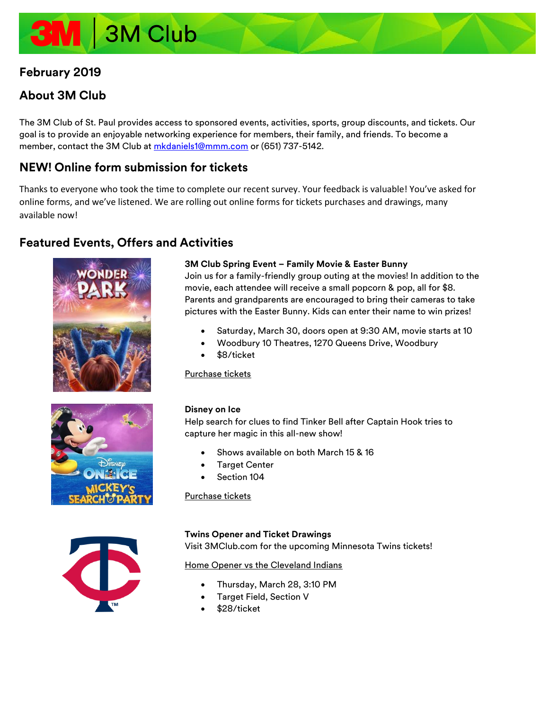# 3M Club

# **February 2019**

# **About 3M Club**

The 3M Club of St. Paul provides access to sponsored events, activities, sports, group discounts, and tickets. Our goal is to provide an enjoyable networking experience for members, their family, and friends. To become a member, contact the 3M Club at [mkdaniels1@mmm.com](mailto:mkdaniels1@mmm.com) or (651) 737-5142.

# **NEW! Online form submission for tickets**

Thanks to everyone who took the time to complete our recent survey. Your feedback is valuable! You've asked for online forms, and we've listened. We are rolling out online forms for tickets purchases and drawings, many available now!

# **Featured Events, Offers and Activities**







## **3M Club Spring Event – Family Movie & Easter Bunny**

Join us for a family-friendly group outing at the movies! In addition to the movie, each attendee will receive a small popcorn & pop, all for \$8. Parents and grandparents are encouraged to bring their cameras to take pictures with the Easter Bunny. Kids can enter their name to win prizes!

- Saturday, March 30, doors open at 9:30 AM, movie starts at 10
- Woodbury 10 Theatres, 1270 Queens Drive, Woodbury
- \$8/ticket

#### [Purchase](https://forms.office.com/Pages/ResponsePage.aspx?id=xMPK-qXiV0KvdiBcioId2xfPV-iTQi9EmSvDStt9q_VUN0UwMVVSTVZPRkNWWTBLSDFHRlFJUTlBOSQlQCN0PWcu) tickets

#### **Disney on Ice**

Help search for clues to find Tinker Bell after Captain Hook tries to capture her magic in this all-new show!

- Shows available on both March 15 & 16
- **Target Center**
- Section 104

[Purchase tickets](http://3mclub.com/member-only/tickets/)

#### **Twins Opener and Ticket Drawings**

Visit 3MClub.com for the upcoming Minnesota Twins tickets!

Home Opener [vs the Cleveland Indians](https://forms.office.com/Pages/ResponsePage.aspx?id=xMPK-qXiV0KvdiBcioId2xfPV-iTQi9EmSvDStt9q_VUMEQzSjg5OVVDT0ROUktTUzkyVVI1VDdXRiQlQCN0PWcu)

- Thursday, March 28, 3:10 PM
- Target Field, Section V
- \$28/ticket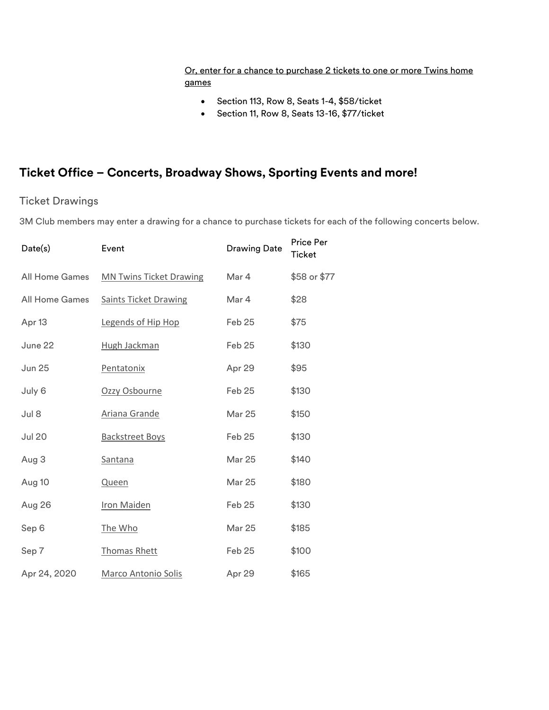# [Or, enter for a chance to purchase 2 tickets to one or more Twins home](https://forms.office.com/Pages/ResponsePage.aspx?id=xMPK-qXiV0KvdiBcioId2xfPV-iTQi9EmSvDStt9q_VUQlhSMjFVU0E3S1RTNE03VVk3Q0VES05BQSQlQCN0PWcu)  [games](https://forms.office.com/Pages/ResponsePage.aspx?id=xMPK-qXiV0KvdiBcioId2xfPV-iTQi9EmSvDStt9q_VUQlhSMjFVU0E3S1RTNE03VVk3Q0VES05BQSQlQCN0PWcu)

- Section 113, Row 8, Seats 1-4, \$58/ticket
- Section 11, Row 8, Seats 13-16, \$77/ticket

# **Ticket Office – Concerts, Broadway Shows, Sporting Events and more!**

# Ticket Drawings

3M Club members may enter a drawing for a chance to purchase tickets for each of the following concerts below.

| Date(s)               | Event                          | <b>Drawing Date</b> | <b>Price Per</b><br><b>Ticket</b> |
|-----------------------|--------------------------------|---------------------|-----------------------------------|
| <b>All Home Games</b> | <b>MN Twins Ticket Drawing</b> | Mar 4               | \$58 or \$77                      |
| <b>All Home Games</b> | <b>Saints Ticket Drawing</b>   | Mar 4               | \$28                              |
| Apr <sub>13</sub>     | Legends of Hip Hop             | Feb 25              | \$75                              |
| June 22               | Hugh Jackman                   | Feb 25              | \$130                             |
| <b>Jun 25</b>         | Pentatonix                     | Apr 29              | \$95                              |
| July 6                | Ozzy Osbourne                  | Feb 25              | \$130                             |
| Jul 8                 | Ariana Grande                  | <b>Mar 25</b>       | \$150                             |
| <b>Jul 20</b>         | <b>Backstreet Boys</b>         | Feb 25              | \$130                             |
| Aug 3                 | Santana                        | <b>Mar 25</b>       | \$140                             |
| Aug 10                | Queen                          | <b>Mar 25</b>       | \$180                             |
| Aug 26                | <b>Iron Maiden</b>             | Feb 25              | \$130                             |
| Sep 6                 | The Who                        | <b>Mar 25</b>       | \$185                             |
| Sep 7                 | <b>Thomas Rhett</b>            | Feb 25              | \$100                             |
| Apr 24, 2020          | <b>Marco Antonio Solis</b>     | Apr 29              | \$165                             |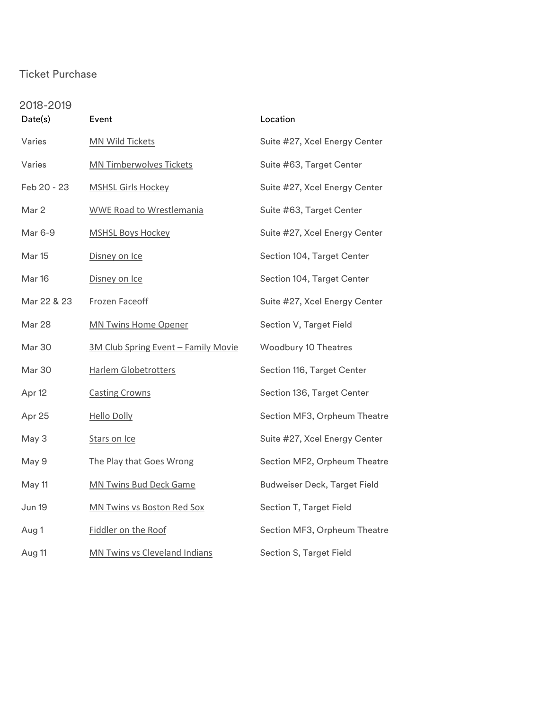# Ticket Purchase

| 2018-2019   |                                     |                                     |  |
|-------------|-------------------------------------|-------------------------------------|--|
| Date(s)     | Event                               | Location                            |  |
| Varies      | <b>MN Wild Tickets</b>              | Suite #27, Xcel Energy Center       |  |
| Varies      | <b>MN Timberwolves Tickets</b>      | Suite #63, Target Center            |  |
| Feb 20 - 23 | <b>MSHSL Girls Hockey</b>           | Suite #27, Xcel Energy Center       |  |
| Mar 2       | <b>WWE Road to Wrestlemania</b>     | Suite #63, Target Center            |  |
| Mar 6-9     | <b>MSHSL Boys Hockey</b>            | Suite #27, Xcel Energy Center       |  |
| Mar 15      | Disney on Ice                       | Section 104, Target Center          |  |
| Mar 16      | Disney on Ice                       | Section 104, Target Center          |  |
| Mar 22 & 23 | <b>Frozen Faceoff</b>               | Suite #27, Xcel Energy Center       |  |
| Mar 28      | <b>MN Twins Home Opener</b>         | Section V, Target Field             |  |
| Mar 30      | 3M Club Spring Event - Family Movie | <b>Woodbury 10 Theatres</b>         |  |
| Mar 30      | <b>Harlem Globetrotters</b>         | Section 116, Target Center          |  |
| Apr 12      | <b>Casting Crowns</b>               | Section 136, Target Center          |  |
| Apr 25      | <b>Hello Dolly</b>                  | Section MF3, Orpheum Theatre        |  |
| May 3       | Stars on Ice                        | Suite #27, Xcel Energy Center       |  |
| May 9       | The Play that Goes Wrong            | Section MF2, Orpheum Theatre        |  |
| May 11      | <b>MN Twins Bud Deck Game</b>       | <b>Budweiser Deck, Target Field</b> |  |
| Jun 19      | <b>MN Twins vs Boston Red Sox</b>   | Section T, Target Field             |  |
| Aug 1       | Fiddler on the Roof                 | Section MF3, Orpheum Theatre        |  |
| Aug 11      | MN Twins vs Cleveland Indians       | Section S, Target Field             |  |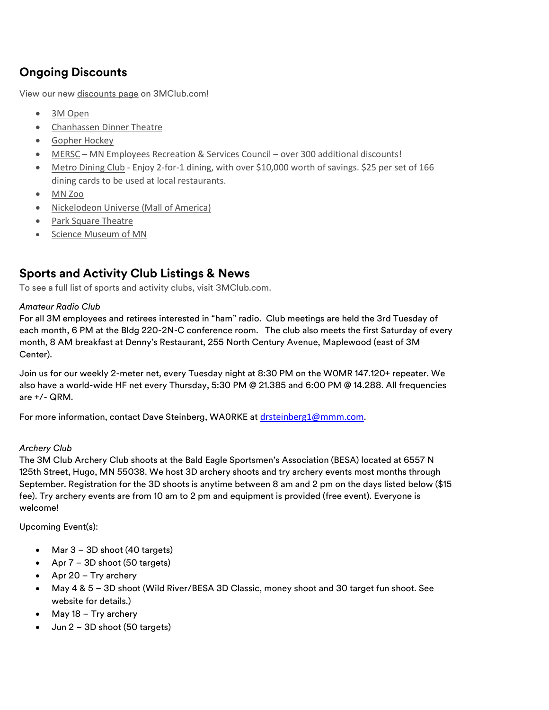# **Ongoing Discounts**

View our new [discounts page](http://3mclub.com/member-only/discounts/) on 3MClub.com!

- [3M Open](http://3mclub.com/files/3915/4628/9798/3M_Open.pdf)
- [Chanhassen Dinner Theatre](http://3mclub.com/files/2414/7198/6276/2016_Chanhassen.pdf)
- [Gopher Hockey](http://3mclub.com/files/9715/4021/4357/Gopher_Hockey.pdf)
- [MERSC](http://3mclub.com/files/8214/6953/6831/MERSC.pdf) MN Employees Recreation & Services Council over 300 additional discounts!
- [Metro Dining Club](http://3mclub.com/files/8915/0600/2705/2017_09_22_Metro_Dining_Club.pdf) Enjoy 2-for-1 dining, with over \$10,000 worth of savings. \$25 per set of 166 dining cards to be used at local restaurants.
- [MN Zoo](http://3mclub.com/files/5015/1845/6239/MN_Zoo.pdf)
- [Nickelodeon Universe](http://3mclub.com/files/9015/2422/7788/Nickelodeon_Universe.pdf) (Mall of America)
- [Park Square Theatre](http://3mclub.com/files/3214/8718/2192/2017_Park_Square_Theatre.pdf)
- [Science Museum of MN](http://3mclub.com/files/2014/7195/9898/2016_Science_Museum.pdf)

# **Sports and Activity Club Listings & News**

To see a full list of sports and activity clubs, visit [3MClub.com.](http://www.3mclub.com/)

## *Amateur Radio Club*

For all 3M employees and retirees interested in "ham" radio. Club meetings are held the 3rd Tuesday of each month, 6 PM at the Bldg 220-2N-C conference room. The club also meets the first Saturday of every month, 8 AM breakfast at Denny's Restaurant, 255 North Century Avenue, Maplewood (east of 3M Center).

Join us for our weekly 2-meter net, every Tuesday night at 8:30 PM on the W0MR 147.120+ repeater. We also have a world-wide HF net every Thursday, 5:30 PM @ 21.385 and 6:00 PM @ 14.288. All frequencies are +/- QRM.

For more information, contact Dave Steinberg, WAORKE at [drsteinberg1@mmm.com](mailto:drsteinberg1@mmm.com).

## *Archery Club*

The 3M Club Archery Club shoots at the Bald Eagle Sportsmen's Association (BESA) located at 6557 N 125th Street, Hugo, MN 55038. We host 3D archery shoots and try archery events most months through September. Registration for the 3D shoots is anytime between 8 am and 2 pm on the days listed below (\$15 fee). Try archery events are from 10 am to 2 pm and equipment is provided (free event). Everyone is welcome!

Upcoming Event(s):

- Mar 3 3D shoot (40 targets)
- Apr 7 3D shoot (50 targets)
- Apr 20 Try archery
- May 4 & 5 3D shoot (Wild River/BESA 3D Classic, money shoot and 30 target fun shoot. See website for details.)
- May 18 Try archery
- Jun 2 3D shoot (50 targets)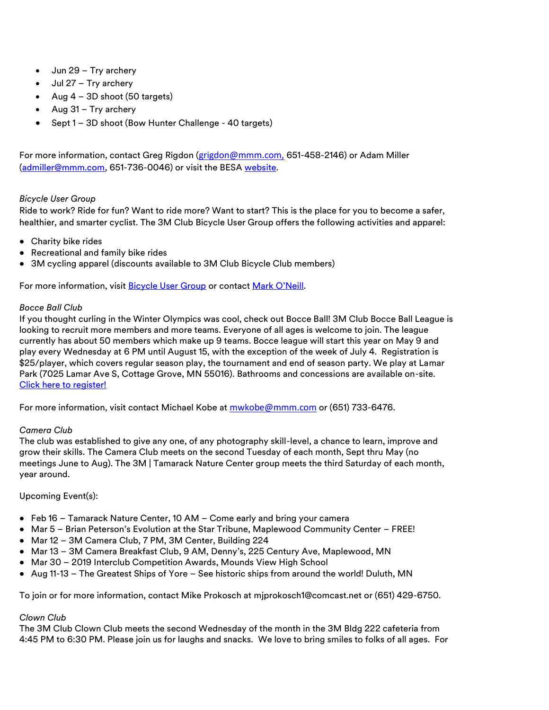- Jun 29 Try archery
- Jul 27 Try archery
- Aug 4 3D shoot (50 targets)
- Aug 31 Try archery
- Sept 1 3D shoot (Bow Hunter Challenge 40 targets)

For more information, contact Greg Rigdon (grigdon@mmm.com, 651-458-2146) or Adam Miller [\(admiller@mmm.com,](mailto:admiller@mmm.com) 651-736-0046) or visit the BES[A website.](http://www.besamn.com/archery)

#### *Bicycle User Group*

Ride to work? Ride for fun? Want to ride more? Want to start? This is the place for you to become a safer, healthier, and smarter cyclist. The 3M Club Bicycle User Group offers the following activities and apparel:

- Charity bike rides
- Recreational and family bike rides
- 3M cycling apparel (discounts available to 3M Club Bicycle Club members)

For more information, visit [Bicycle User Group](https://skydrive3m.sharepoint.com/sites/EmpInt/3mbikes/SitePages/Home.aspx) or contact [Mark O'Neill](mailto:mboneill@mmm.com).

#### *Bocce Ball Club*

If you thought curling in the Winter Olympics was cool, check out Bocce Ball! 3M Club Bocce Ball League is looking to recruit more members and more teams. Everyone of all ages is welcome to join. The league currently has about 50 members which make up 9 teams. Bocce league will start this year on May 9 and play every Wednesday at 6 PM until August 15, with the exception of the week of July 4. Registration is \$25/player, which covers regular season play, the tournament and end of season party. We play at Lamar Park (7025 Lamar Ave S, Cottage Grove, MN 55016). Bathrooms and concessions are available on-site. [Click here to register!](http://3mclub.com/files/3215/2037/4063/Bocce_Registration_Form_2018_Season.pdf)

For more information, visit contact Michael Kobe at [mwkobe@mmm.com](mailto:mwkobe@mmm.com) or (651) 733-6476.

#### *Camera Club*

The club was established to give any one, of any photography skill-level, a chance to learn, improve and grow their skills. The Camera Club meets on the second Tuesday of each month, Sept thru May (no meetings June to Aug). The 3M | Tamarack Nature Center group meets the third Saturday of each month, year around.

#### Upcoming Event(s):

- Feb 16 Tamarack Nature Center, 10 AM Come early and bring your camera
- Mar 5 Brian Peterson's Evolution at the Star Tribune, Maplewood Community Center FREE!
- Mar 12 3M Camera Club, 7 PM, 3M Center, Building 224
- Mar 13 3M Camera Breakfast Club, 9 AM, Denny's, 225 Century Ave, Maplewood, MN
- Mar 30 2019 Interclub Competition Awards, Mounds View High School
- Aug 11-13 The Greatest Ships of Yore See historic ships from around the world! Duluth, MN

To join or for more information, contact Mike Prokosch at mjprokosch1@comcast.net or (651) 429-6750.

## *Clown Club*

The 3M Club Clown Club meets the second Wednesday of the month in the 3M Bldg 222 cafeteria from 4:45 PM to 6:30 PM. Please join us for laughs and snacks. We love to bring smiles to folks of all ages. For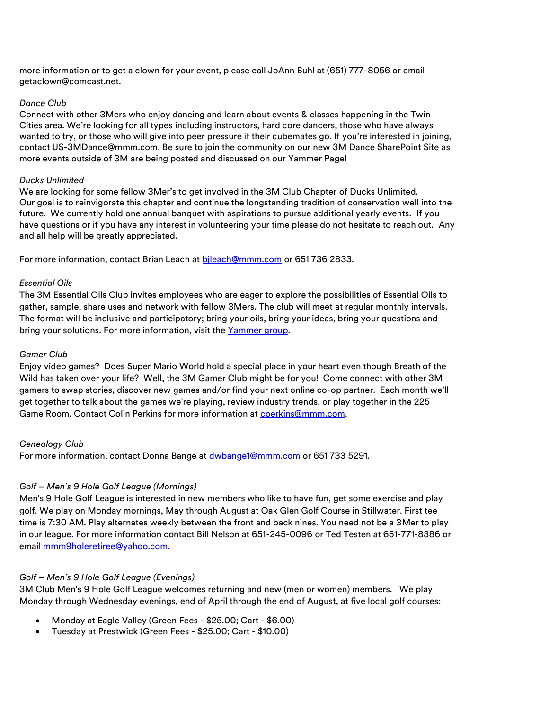more information or to get a clown for your event, please call JoAnn Buhl at (651) 777-8056 or email [getaclown@comcast.net.](mailto:getaclown@comcast.net)

#### *Dance Club*

Connect with other 3Mers who enjoy dancing and learn about events & classes happening in the Twin Cities area. We're looking for all types including instructors, hard core dancers, those who have always wanted to try, or those who will give into peer pressure if their cubemates go. If you're interested in joining, contact [US-3MDance@mmm.com.](mailto:US-3MDance@mmm.com) Be sure to join the community on our new [3M Dance SharePoint Site](https://skydrive3m.sharepoint.com/teams/3MDance_comm/SitePages/Community%20Home.aspx) as more events outside of 3M are being posted and discussed on our [Yammer Page!](https://www.yammer.com/mmm.com/#/threads/show?threadId=982366262&messageId=982366262)

## *Ducks Unlimited*

We are looking for some fellow 3Mer's to get involved in the 3M Club Chapter of Ducks Unlimited. Our goal is to reinvigorate this chapter and continue the longstanding tradition of conservation well into the future. We currently hold one annual banquet with aspirations to pursue additional yearly events. If you have questions or if you have any interest in volunteering your time please do not hesitate to reach out. Any and all help will be greatly appreciated.

For more information, contact Brian Leach at bileach@mmm.com or 651 736 2833.

## *Essential Oils*

The 3M Essential Oils Club invites employees who are eager to explore the possibilities of Essential Oils to gather, sample, share uses and network with fellow 3Mers. The club will meet at regular monthly intervals. The format will be inclusive and participatory; bring your oils, bring your ideas, bring your questions and bring your solutions. For more information, visit the Yammer group.

#### *Gamer Club*

Enjoy video games? Does Super Mario World hold a special place in your heart even though Breath of the Wild has taken over your life? Well, the 3M Gamer Club might be for you! Come connect with other 3M gamers to swap stories, discover new games and/or find your next online co-op partner. Each month we'll get together to talk about the games we're playing, review industry trends, or play together in the 225 Game Room. Contact Colin Perkins for more information at [cperkins@mmm.com.](mailto:cperkins@mmm.com)

#### *Genealogy Club*

For more information, contact Donna Bange at [dwbange1@mmm.com](mailto:dwbange1@mmm.com) or 651 733 5291.

## *Golf – Men's 9 Hole Golf League (Mornings)*

Men's 9 Hole Golf League is interested in new members who like to have fun, get some exercise and play golf. We play on Monday mornings, May through August at Oak Glen Golf Course in Stillwater. First tee time is 7:30 AM. Play alternates weekly between the front and back nines. You need not be a 3Mer to play in our league. For more information contact Bill Nelson at 651-245-0096 or Ted Testen at 651-771-8386 or email [mmm9holeretiree@yahoo.com.](mailto:mmm9holeretiree@yahoo.com)

## *Golf – Men's 9 Hole Golf League (Evenings)*

3M Club Men's 9 Hole Golf League welcomes returning and new (men or women) members. We play Monday through Wednesday evenings, end of April through the end of August, at five local golf courses:

- Monday at Eagle Valley (Green Fees \$25.00; Cart \$6.00)
- Tuesday at Prestwick (Green Fees \$25.00; Cart \$10.00)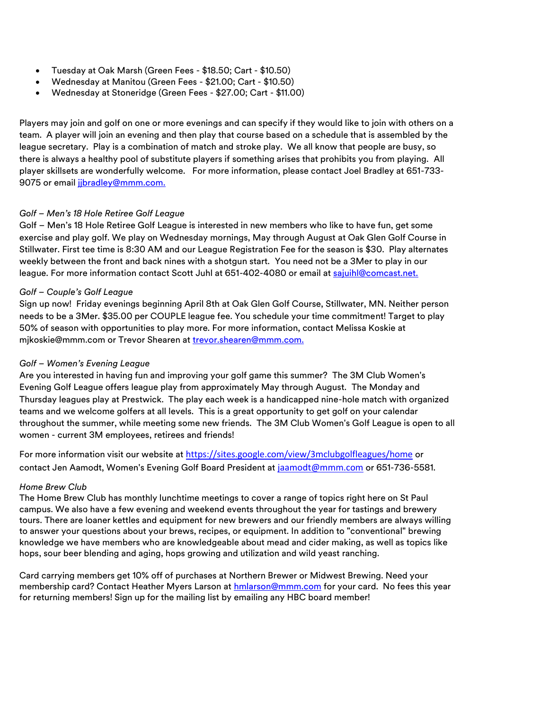- Tuesday at Oak Marsh (Green Fees \$18.50; Cart \$10.50)
- Wednesday at Manitou (Green Fees \$21.00; Cart \$10.50)
- Wednesday at Stoneridge (Green Fees \$27.00; Cart \$11.00)

Players may join and golf on one or more evenings and can specify if they would like to join with others on a team. A player will join an evening and then play that course based on a schedule that is assembled by the league secretary. Play is a combination of match and stroke play. We all know that people are busy, so there is always a healthy pool of substitute players if something arises that prohibits you from playing. All player skillsets are wonderfully welcome. For more information, please contact Joel Bradley at 651-733- 9075 or email jibradley@mmm.com.

#### *Golf – Men's 18 Hole Retiree Golf League*

Golf – Men's 18 Hole Retiree Golf League is interested in new members who like to have fun, get some exercise and play golf. We play on Wednesday mornings, May through August at Oak Glen Golf Course in Stillwater. First tee time is 8:30 AM and our League Registration Fee for the season is \$30. Play alternates weekly between the front and back nines with a shotgun start. You need not be a 3Mer to play in our league. For more information contact Scott Juhl at 651-402-4080 or email at [sajuihl@comcast.net.](mailto:sajuihl@comcast.net)

#### *Golf – Couple's Golf League*

Sign up now! Friday evenings beginning April 8th at Oak Glen Golf Course, Stillwater, MN. Neither person needs to be a 3Mer. \$35.00 per COUPLE league fee. You schedule your time commitment! Target to play 50% of season with opportunities to play more. For more information, contact Melissa Koskie at [mjkoskie@mmm.com](mailto:mjkoskie@mmm.com) or Trevor Shearen at [trevor.shearen@mmm.com.](mailto:trevor.shearen@mmm.com)

#### *Golf – Women's Evening League*

Are you interested in having fun and improving your golf game this summer? The 3M Club Women's Evening Golf League offers league play from approximately May through August. The Monday and Thursday leagues play at Prestwick. The play each week is a handicapped nine-hole match with organized teams and we welcome golfers at all levels. This is a great opportunity to get golf on your calendar throughout the summer, while meeting some new friends. The 3M Club Women's Golf League is open to all women - current 3M employees, retirees and friends!

For more information visit our website at <https://sites.google.com/view/3mclubgolfleagues/home> or contact Jen Aamodt, Women's Evening Golf Board President at [jaamodt@mmm.com](mailto:jaamodt@mmm.com) or 651-736-5581.

#### *Home Brew Club*

The Home Brew Club has monthly lunchtime meetings to cover a range of topics right here on St Paul campus. We also have a few evening and weekend events throughout the year for tastings and brewery tours. There are loaner kettles and equipment for new brewers and our friendly members are always willing to answer your questions about your brews, recipes, or equipment. In addition to "conventional" brewing knowledge we have members who are knowledgeable about mead and cider making, as well as topics like hops, sour beer blending and aging, hops growing and utilization and wild yeast ranching.

Card carrying members get 10% off of purchases at Northern Brewer or Midwest Brewing. Need your membership card? Contact Heather Myers Larson at [hmlarson@mmm.com](mailto:hmlarson@mmm.com) for your card. No fees this year for returning members! Sign up for the mailing list by emailing any HBC board member!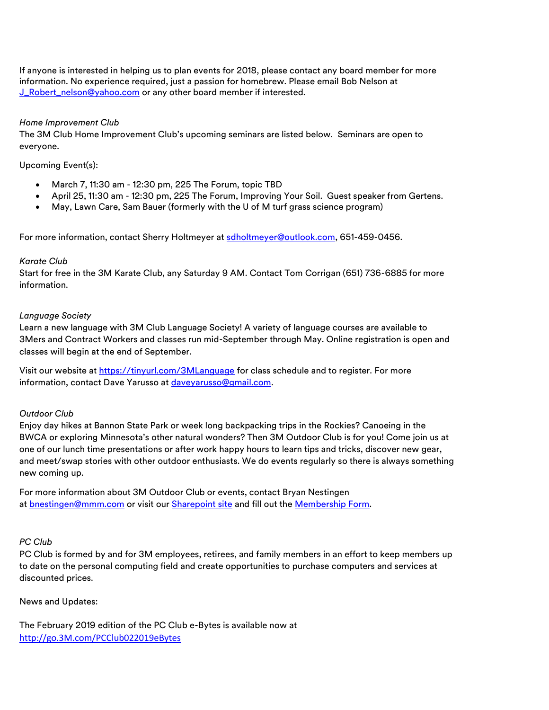If anyone is interested in helping us to plan events for 2018, please contact any board member for more information. No experience required, just a passion for homebrew. Please email Bob Nelson at [J\\_Robert\\_nelson@yahoo.com](mailto:J_Robert_nelson@yahoo.com) or any other board member if interested.

#### *Home Improvement Club*

The 3M Club Home Improvement Club's upcoming seminars are listed below. Seminars are open to everyone.

Upcoming Event(s):

- March 7, 11:30 am 12:30 pm, 225 The Forum, topic TBD
- April 25, 11:30 am 12:30 pm, 225 The Forum, Improving Your Soil. Guest speaker from Gertens.
- May, Lawn Care, Sam Bauer (formerly with the U of M turf grass science program)

For more information, contact Sherry Holtmeyer at [sdholtmeyer@outlook.com,](mailto:sdholtmeyer@outlook.com) 651-459-0456.

#### *Karate Club*

Start for free in the 3M Karate Club, any Saturday 9 AM. Contact Tom Corrigan (651) 736-6885 for more information.

#### *Language Society*

Learn a new language with 3M Club Language Society! A variety of language courses are available to 3Mers and Contract Workers and classes run mid-September through May. Online registration is open and classes will begin at the end of September.

Visit our website at <https://tinyurl.com/3MLanguage> for class schedule and to register. For more information, contact Dave Yarusso at [daveyarusso@gmail.com.](mailto:daveyarusso@gmail.com)

#### *Outdoor Club*

Enjoy day hikes at Bannon State Park or week long backpacking trips in the Rockies? Canoeing in the BWCA or exploring Minnesota's other natural wonders? Then 3M Outdoor Club is for you! Come join us at one of our lunch time presentations or after work happy hours to learn tips and tricks, discover new gear, and meet/swap stories with other outdoor enthusiasts. We do events regularly so there is always something new coming up.

For more information about 3M Outdoor Club or events, contact Bryan Nestingen at [bnestingen@mmm.com](mailto:bnestingen@mmm.com) or visit our [Sharepoint site](https://skydrive3m.sharepoint.com/teams/3moutdoorclub) and fill out the [Membership Form.](https://forms.office.com/Pages/ResponsePage.aspx?id=xMPK-qXiV0KvdiBcioId2-PgNSnCf6BHuuAmBl7zF95UM1JNS0FNMzdXNUlERFNBQ0U1OFBZRjU1SyQlQCN0PWcu)

#### *PC Club*

PC Club is formed by and for 3M employees, retirees, and family members in an effort to keep members up to date on the personal computing field and create opportunities to purchase computers and services at discounted prices.

News and Updates:

The February 2019 edition of the PC Club e-Bytes is available now at [http://go.3M.com/PCClub022019eBytes](http://go.3m.com/PCClub022019eBytes)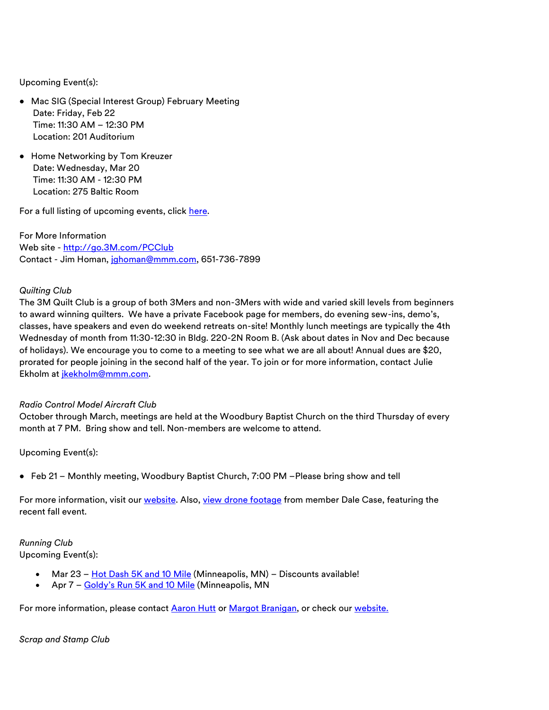Upcoming Event(s):

- Mac SIG (Special Interest Group) February Meeting Date: Friday, Feb 22 Time: 11:30 AM – 12:30 PM Location: 201 Auditorium
- Home Networking by Tom Kreuzer Date: Wednesday, Mar 20 Time: 11:30 AM - 12:30 PM Location: 275 Baltic Room

For a full listing of upcoming events, click h[ere.](https://sites.google.com/site/theminingpcc/future-meetings)

For More Information Web site - [http://go.3M.com/PCClub](http://go.3m.com/PCClub) Contact - Jim Homan, [jghoman@mmm.com,](mailto:jghoman@mmm.com) 651-736-7899

#### *Quilting Club*

The 3M Quilt Club is a group of both 3Mers and non-3Mers with wide and varied skill levels from beginners to award winning quilters. We have a private Facebook page for members, do evening sew-ins, demo's, classes, have speakers and even do weekend retreats on-site! Monthly lunch meetings are typically the 4th Wednesday of month from 11:30-12:30 in Bldg. 220-2N Room B. (Ask about dates in Nov and Dec because of holidays). We encourage you to come to a meeting to see what we are all about! Annual dues are \$20, prorated for people joining in the second half of the year. To join or for more information, contact [Julie](mailto:vlsmith1@mmm.com) Ekholm at [jkekholm@mmm.com.](mailto:jkekholm@mmm.com)

#### *Radio Control Model Aircraft Club*

October through March, meetings are held at the Woodbury Baptist Church on the third Thursday of every month at 7 PM. Bring show and tell. Non-members are welcome to attend.

Upcoming Event(s):

• Feb 21 – Monthly meeting, Woodbury Baptist Church, 7:00 PM –Please bring show and tell

For more information, visit our [website.](http://3mclubrcflyers.org/) Also, [view drone footage](https://youtu.be/oi5U_O4zgGk) from member Dale Case, featuring the recent fall event.

*Running Club* Upcoming Event(s):

- Mar  $23 \frac{\text{Hot } Dash \, 5K \, \text{and } 10 \, \text{Mile}}{\text{(Minneapolis, MN)}} \text{Discounts available!}$
- Apr 7 [Goldy's Run 5K and 10 Mile](https://www.goldysrun.com/) (Minneapolis, MN

For more information, please contact [Aaron Hutt](mailto:ahutt@mmm.com) or [Margot Branigan,](mailto:mabranigan@mmm.com) or check our [website.](https://skydrive3m.sharepoint.com/sites/EmpInt/runclub/SitePages/Home.aspx)

*Scrap and Stamp Club*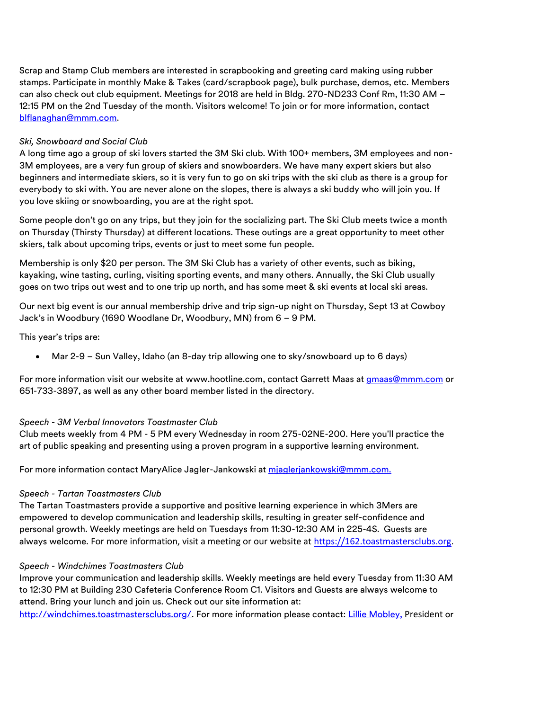Scrap and Stamp Club members are interested in scrapbooking and greeting card making using rubber stamps. Participate in monthly Make & Takes (card/scrapbook page), bulk purchase, demos, etc. Members can also check out club equipment. Meetings for 2018 are held in Bldg. 270-ND233 Conf Rm, 11:30 AM – 12:15 PM on the 2nd Tuesday of the month. Visitors welcome! To join or for more information, contact [blflanaghan@mmm.com.](mailto:blflanaghan@mmm.com)

#### *Ski, Snowboard and Social Club*

A long time ago a group of ski lovers started the 3M Ski club. With 100+ members, 3M employees and non-3M employees, are a very fun group of skiers and snowboarders. We have many expert skiers but also beginners and intermediate skiers, so it is very fun to go on ski trips with the ski club as there is a group for everybody to ski with. You are never alone on the slopes, there is always a ski buddy who will join you. If you love skiing or snowboarding, you are at the right spot.

Some people don't go on any trips, but they join for the socializing part. The Ski Club meets twice a month on Thursday (Thirsty Thursday) at different locations. These outings are a great opportunity to meet other skiers, talk about upcoming trips, events or just to meet some fun people.

Membership is only \$20 per person. The 3M Ski Club has a variety of other events, such as biking, kayaking, wine tasting, curling, visiting sporting events, and many others. Annually, the Ski Club usually goes on two trips out west and to one trip up north, and has some meet & ski events at local ski areas.

Our next big event is our annual membership drive and trip sign-up night on Thursday, Sept 13 at Cowboy Jack's in Woodbury (1690 Woodlane Dr, Woodbury, MN) from 6 – 9 PM.

This year's trips are:

• Mar 2-9 – Sun Valley, Idaho (an 8-day trip allowing one to sky/snowboard up to 6 days)

For more information visit our website at [www.hootline.com,](http://www.hootline.com/) contact Garrett Maas at **gmaas@mmm.com** or 651-733-3897, as well as any other board member listed in the directory.

## *Speech - 3M Verbal Innovators Toastmaster Club*

Club meets weekly from 4 PM - 5 PM every Wednesday in room 275-02NE-200. Here you'll practice the art of public speaking and presenting using a proven program in a supportive learning environment.

For more information contact MaryAlice Jagler-Jankowski at [mjaglerjankowski@mmm.com.](mailto:mjaglerjankowski@mmm.com)

#### *Speech - Tartan Toastmasters Club*

The Tartan Toastmasters provide a supportive and positive learning experience in which 3Mers are empowered to develop communication and leadership skills, resulting in greater self-confidence and personal growth. Weekly meetings are held on Tuesdays from 11:30-12:30 AM in 225-4S. Guests are always welcome. For more information, visit a meeting or our website at [https://162.toastmastersclubs.org.](https://162.toastmastersclubs.org/)

#### *Speech - Windchimes Toastmasters Club*

Improve your communication and leadership skills. Weekly meetings are held every Tuesday from 11:30 AM to 12:30 PM at Building 230 Cafeteria Conference Room C1. Visitors and Guests are always welcome to attend. Bring your lunch and join us. Check out our site information at:

[http://windchimes.toastmastersclubs.org/.](http://windchimes.toastmastersclubs.org/) For more information please contact: [Lillie Mobley,](mailto:lmobley2@mmm.com) President or